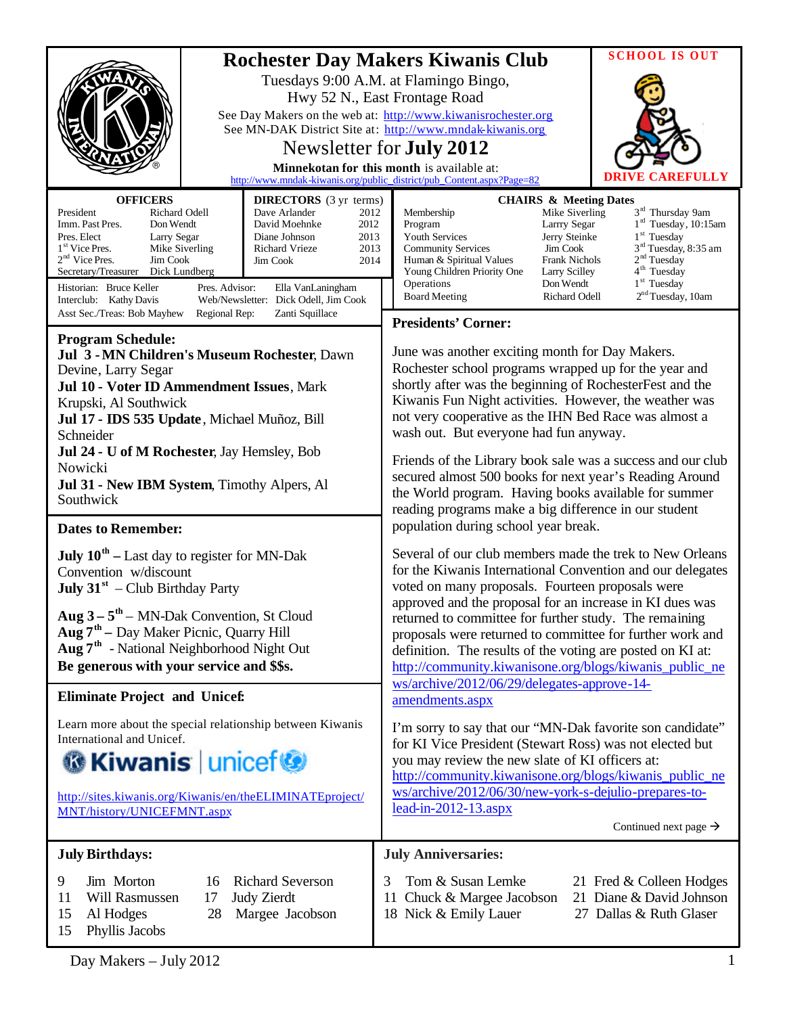|                                                                                                                                                                                                                                                                                                                                             |                                                                                                                                                                                                                     | <b>SCHOOL IS OUT</b>                                                                                                                                                                                                                                                                                                                                                                                                                                                                                                                                                              |  |  |
|---------------------------------------------------------------------------------------------------------------------------------------------------------------------------------------------------------------------------------------------------------------------------------------------------------------------------------------------|---------------------------------------------------------------------------------------------------------------------------------------------------------------------------------------------------------------------|-----------------------------------------------------------------------------------------------------------------------------------------------------------------------------------------------------------------------------------------------------------------------------------------------------------------------------------------------------------------------------------------------------------------------------------------------------------------------------------------------------------------------------------------------------------------------------------|--|--|
|                                                                                                                                                                                                                                                                                                                                             |                                                                                                                                                                                                                     | <b>Rochester Day Makers Kiwanis Club</b><br>Tuesdays 9:00 A.M. at Flamingo Bingo,<br>Hwy 52 N., East Frontage Road<br>See Day Makers on the web at: http://www.kiwanisrochester.org<br>See MN-DAK District Site at: http://www.mndak-kiwanis.org<br>Newsletter for <b>July 2012</b><br>Minnekotan for this month is available at:<br>CAREFULLY<br>http://www.mndak-kiwanis.org/public_district/pub_Content.aspx?Page=82                                                                                                                                                           |  |  |
| <b>OFFICERS</b><br>President<br>Richard Odell<br>Imm. Past Pres.<br>Don Wendt<br>Pres. Elect<br>Larry Segar<br>1 <sup>st</sup> Vice Pres.<br>Mike Siverling<br>$2nd$ Vice Pres.<br>Jim Cook<br>Secretary/Treasurer<br>Dick Lundberg<br>Historian: Bruce Keller<br>Pres. Advisor:<br>Interclub: Kathy Davis                                  | <b>DIRECTORS</b> (3 yr terms)<br>Dave Arlander<br>2012<br>David Moehnke<br>2012<br>2013<br>Diane Johnson<br>2013<br>Richard Vrieze<br>Jim Cook<br>2014<br>Ella VanLaningham<br>Web/Newsletter: Dick Odell, Jim Cook | <b>CHAIRS &amp; Meeting Dates</b><br>3 <sup>rd</sup> Thursday 9am<br>Membership<br>Mike Siverling<br>$1rd$ Tuesday, 10:15am<br>Program<br>Larrry Segar<br>$1st$ Tuesday<br>Youth Services<br>Jerry Steinke<br>3 <sup>rd</sup> Tuesday, 8:35 am<br><b>Community Services</b><br>Jim Cook<br>2 <sup>nd</sup> Tuesday<br><b>Frank Nichols</b><br>Human & Spiritual Values<br>4 <sup>th</sup> Tuesday<br>Young Children Priority One<br>Larry Scilley<br>1 <sup>st</sup> Tuesday<br>Operations<br>Don Wendt<br>2 <sup>nd</sup> Tuesday, 10am<br><b>Board Meeting</b><br>Richard Odell |  |  |
| Asst Sec./Treas: Bob Mayhew<br>Regional Rep:<br>Zanti Squillace                                                                                                                                                                                                                                                                             |                                                                                                                                                                                                                     | <b>Presidents' Corner:</b>                                                                                                                                                                                                                                                                                                                                                                                                                                                                                                                                                        |  |  |
| <b>Program Schedule:</b><br>Jul 3 - MN Children's Museum Rochester, Dawn<br>Devine, Larry Segar<br>Jul 10 - Voter ID Ammendment Issues, Mark<br>Krupski, Al Southwick<br>Jul 17 - IDS 535 Update, Michael Muñoz, Bill<br>Schneider<br>Jul 24 - U of M Rochester, Jay Hemsley, Bob<br>Nowicki<br>Jul 31 - New IBM System, Timothy Alpers, Al |                                                                                                                                                                                                                     | June was another exciting month for Day Makers.<br>Rochester school programs wrapped up for the year and<br>shortly after was the beginning of RochesterFest and the<br>Kiwanis Fun Night activities. However, the weather was<br>not very cooperative as the IHN Bed Race was almost a<br>wash out. But everyone had fun anyway.<br>Friends of the Library book sale was a success and our club<br>secured almost 500 books for next year's Reading Around                                                                                                                       |  |  |
| Southwick                                                                                                                                                                                                                                                                                                                                   |                                                                                                                                                                                                                     | the World program. Having books available for summer<br>reading programs make a big difference in our student                                                                                                                                                                                                                                                                                                                                                                                                                                                                     |  |  |
| <b>Dates to Remember:</b>                                                                                                                                                                                                                                                                                                                   |                                                                                                                                                                                                                     | population during school year break.                                                                                                                                                                                                                                                                                                                                                                                                                                                                                                                                              |  |  |
| <b>July 10<sup>th</sup></b> – Last day to register for MN-Dak<br>Convention w/discount<br><b>July 31</b> <sup>st</sup> – Club Birthday Party                                                                                                                                                                                                |                                                                                                                                                                                                                     | Several of our club members made the trek to New Orleans<br>for the Kiwanis International Convention and our delegates<br>voted on many proposals. Fourteen proposals were                                                                                                                                                                                                                                                                                                                                                                                                        |  |  |
| Aug $3 - 5$ <sup>th</sup> – MN-Dak Convention, St Cloud<br><b>Aug <math>7th</math></b> – Day Maker Picnic, Quarry Hill<br>Aug 7 <sup>th</sup> - National Neighborhood Night Out<br>Be generous with your service and \$\$s.                                                                                                                 |                                                                                                                                                                                                                     | approved and the proposal for an increase in KI dues was<br>returned to committee for further study. The remaining<br>proposals were returned to committee for further work and<br>definition. The results of the voting are posted on KI at:<br>http://community.kiwanisone.org/blogs/kiwanis_public_ne                                                                                                                                                                                                                                                                          |  |  |
| <b>Eliminate Project and Unicef:</b>                                                                                                                                                                                                                                                                                                        |                                                                                                                                                                                                                     | ws/archive/2012/06/29/delegates-approve-14-<br>amendments.aspx                                                                                                                                                                                                                                                                                                                                                                                                                                                                                                                    |  |  |
| Learn more about the special relationship between Kiwanis<br>International and Unicef.<br><b>G</b> Kiwanis   unicef<br>http://sites.kiwanis.org/Kiwanis/en/theELIMINATEproject/<br>MNT/history/UNICEFMNT.aspx                                                                                                                               |                                                                                                                                                                                                                     | I'm sorry to say that our "MN-Dak favorite son candidate"<br>for KI Vice President (Stewart Ross) was not elected but<br>you may review the new slate of KI officers at:<br>http://community.kiwanisone.org/blogs/kiwanis_public_ne<br>ws/archive/2012/06/30/new-york-s-dejulio-prepares-to-<br>$lead-in-2012-13.$ aspx<br>Continued next page $\rightarrow$                                                                                                                                                                                                                      |  |  |
| <b>July Birthdays:</b>                                                                                                                                                                                                                                                                                                                      |                                                                                                                                                                                                                     | <b>July Anniversaries:</b>                                                                                                                                                                                                                                                                                                                                                                                                                                                                                                                                                        |  |  |
| Jim Morton<br><b>Richard Severson</b><br>9<br>16<br>Will Rasmussen<br><b>Judy Zierdt</b><br>11<br>17<br>15<br>Al Hodges<br>28<br>Margee Jacobson<br>15<br>Phyllis Jacobs                                                                                                                                                                    |                                                                                                                                                                                                                     | Tom & Susan Lemke<br>3<br>21 Fred & Colleen Hodges<br>21 Diane & David Johnson<br>11 Chuck & Margee Jacobson<br>27 Dallas & Ruth Glaser<br>18 Nick & Emily Lauer                                                                                                                                                                                                                                                                                                                                                                                                                  |  |  |

Day Makers – July 2012 1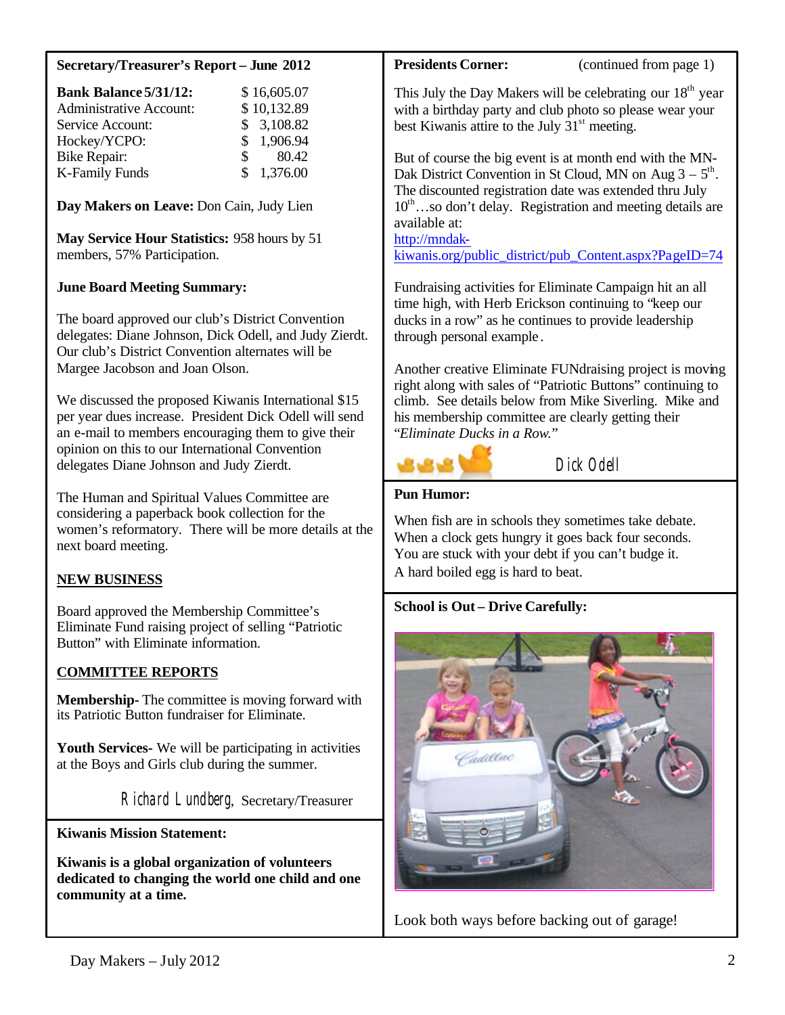# **Secretary/Treasurer's Report – June 2012**

| <b>Bank Balance 5/31/12:</b>   |    | \$16,605.07 |
|--------------------------------|----|-------------|
| <b>Administrative Account:</b> |    | \$10,132.89 |
| Service Account:               |    | \$3,108.82  |
| Hockey/YCPO:                   |    | \$1,906.94  |
| <b>Bike Repair:</b>            | S. | 80.42       |
| <b>K-Family Funds</b>          |    | \$1,376.00  |

**Day Makers on Leave:** Don Cain, Judy Lien

**May Service Hour Statistics:** 958 hours by 51 members, 57% Participation.

### **June Board Meeting Summary:**

The board approved our club's District Convention delegates: Diane Johnson, Dick Odell, and Judy Zierdt. Our club's District Convention alternates will be Margee Jacobson and Joan Olson.

We discussed the proposed Kiwanis International \$15 per year dues increase. President Dick Odell will send an e-mail to members encouraging them to give their opinion on this to our International Convention delegates Diane Johnson and Judy Zierdt.

The Human and Spiritual Values Committee are considering a paperback book collection for the women's reformatory. There will be more details at the next board meeting.

### **NEW BUSINESS**

Board approved the Membership Committee's Eliminate Fund raising project of selling "Patriotic Button" with Eliminate information.

## **COMMITTEE REPORTS**

**Membership-** The committee is moving forward with its Patriotic Button fundraiser for Eliminate.

**Youth Services-** We will be participating in activities at the Boys and Girls club during the summer.

Richard Lundberg, Secretary/Treasurer

### **Kiwanis Mission Statement:**

 $\overline{\phantom{a}}$ 

**Kiwanis is a global organization of volunteers dedicated to changing the world one child and one community at a time.**

**Presidents Corner:** (continued from page 1)

This July the Day Makers will be celebrating our  $18<sup>th</sup>$  year with a birthday party and club photo so please wear your best Kiwanis attire to the July  $31<sup>st</sup>$  meeting.

But of course the big event is at month end with the MN-Dak District Convention in St Cloud, MN on Aug  $3 - 5$ <sup>th</sup>. The discounted registration date was extended thru July  $10^{\text{th}}$ …so don't delay. Registration and meeting details are available at:

http://mndak-

[kiwanis.org/public\\_district/pub\\_Content.aspx?PageID=74](http://mndak-kiwanis.org/public_district/pub_Content.aspx?PageID=74)

Fundraising activities for Eliminate Campaign hit an all time high, with Herb Erickson continuing to "keep our ducks in a row" as he continues to provide leadership through personal example .

Another creative Eliminate FUNdraising project is moving right along with sales of "Patriotic Buttons" continuing to climb. See details below from Mike Siverling. Mike and his membership committee are clearly getting their "*Eliminate Ducks in a Row.*"



Dick Odell

# **Pun Humor:**

When fish are in schools they sometimes take debate. When a clock gets hungry it goes back four seconds. You are stuck with your debt if you can't budge it. A hard boiled egg is hard to beat.

#### **School is Out – Drive Carefully:**



Look both ways before backing out of garage!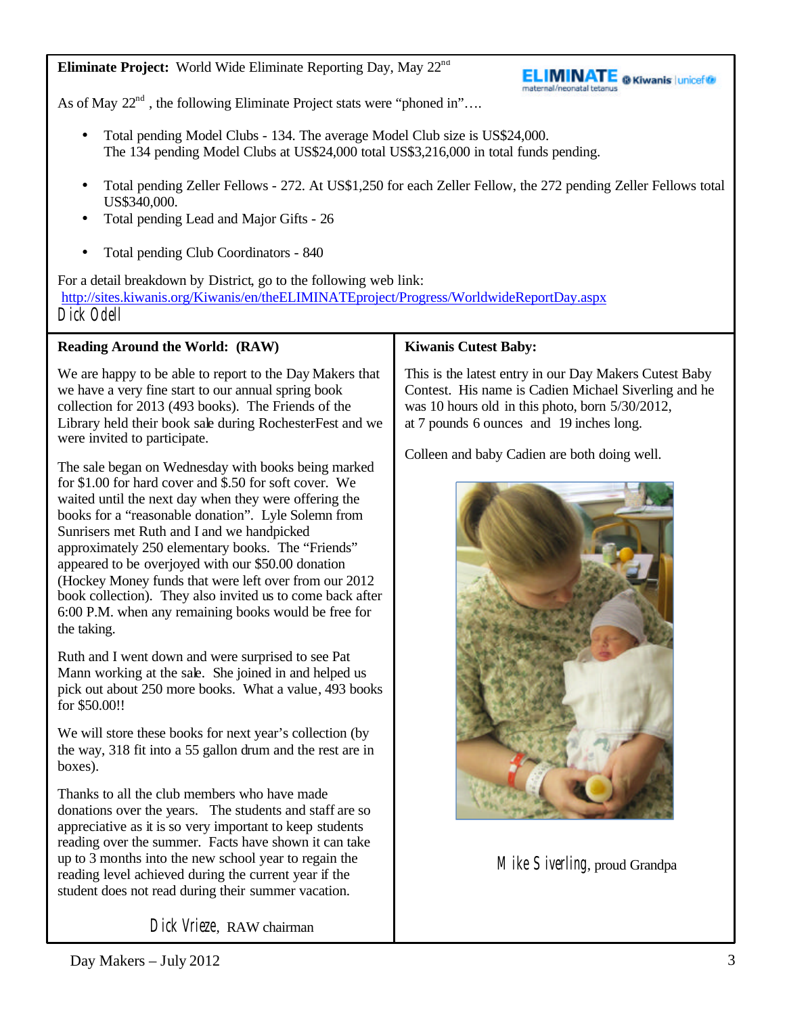**Eliminate Project:** World Wide Eliminate Reporting Day, May 22<sup>nd</sup>



As of May  $22^{nd}$ , the following Eliminate Project stats were "phoned in"...

- Total pending Model Clubs 134. The average Model Club size is US\$24,000. The 134 pending Model Clubs at US\$24,000 total US\$3,216,000 in total funds pending.
- Total pending Zeller Fellows 272. At US\$1,250 for each Zeller Fellow, the 272 pending Zeller Fellows total US\$340,000.
- Total pending Lead and Major Gifts 26
- Total pending Club Coordinators 840

For a detail breakdown by District, go to the following web link: <http://sites.kiwanis.org/Kiwanis/en/theELIMINATEproject/Progress/WorldwideReportDay.aspx> Dick Odell

# **Reading Around the World: (RAW)**

We are happy to be able to report to the Day Makers that we have a very fine start to our annual spring book collection for 2013 (493 books). The Friends of the Library held their book sale during RochesterFest and we were invited to participate.

The sale began on Wednesday with books being marked for \$1.00 for hard cover and \$.50 for soft cover. We waited until the next day when they were offering the books for a "reasonable donation". Lyle Solemn from Sunrisers met Ruth and I and we handpicked approximately 250 elementary books. The "Friends" appeared to be overjoyed with our \$50.00 donation (Hockey Money funds that were left over from our 2012 book collection). They also invited us to come back after 6:00 P.M. when any remaining books would be free for the taking.

Ruth and I went down and were surprised to see Pat Mann working at the sale. She joined in and helped us pick out about 250 more books. What a value, 493 books for \$50.00!!

We will store these books for next year's collection (by the way, 318 fit into a 55 gallon drum and the rest are in boxes).

Thanks to all the club members who have made donations over the years. The students and staff are so appreciative as it is so very important to keep students reading over the summer. Facts have shown it can take up to 3 months into the new school year to regain the reading level achieved during the current year if the student does not read during their summer vacation.

# **Kiwanis Cutest Baby:**

This is the latest entry in our Day Makers Cutest Baby Contest. His name is Cadien Michael Siverling and he was 10 hours old in this photo, born 5/30/2012, at 7 pounds 6 ounces and 19 inches long.

Colleen and baby Cadien are both doing well.



Mike Siverling, proud Grandpa

Dick Vrieze, RAW chairman